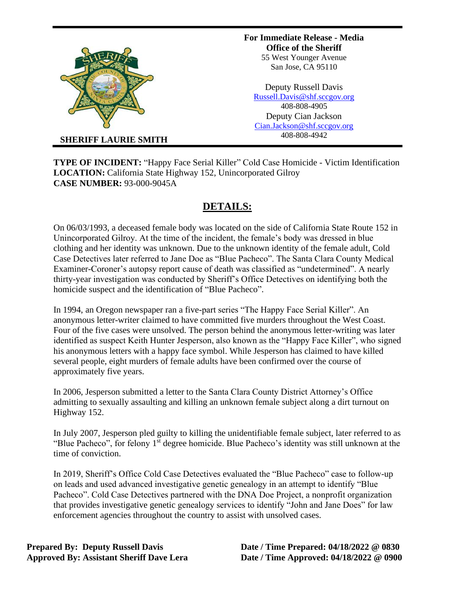

**For Immediate Release - Media Office of the Sheriff** 55 West Younger Avenue San Jose, CA 95110

Deputy Russell Davis [Russell.Davis@shf.sccgov.org](mailto:Russell.Davis@shf.sccgov.org) 408-808-4905 Deputy Cian Jackson [Cian.Jackson@shf.sccgov.org](mailto:Cian.Jackson@shf.sccgov.org) 408-808-4942

**SHERIFF LAURIE SMITH**

**TYPE OF INCIDENT:** "Happy Face Serial Killer" Cold Case Homicide - Victim Identification **LOCATION:** California State Highway 152, Unincorporated Gilroy **CASE NUMBER:** 93-000-9045A

## **DETAILS:**

On 06/03/1993, a deceased female body was located on the side of California State Route 152 in Unincorporated Gilroy. At the time of the incident, the female's body was dressed in blue clothing and her identity was unknown. Due to the unknown identity of the female adult, Cold Case Detectives later referred to Jane Doe as "Blue Pacheco". The Santa Clara County Medical Examiner-Coroner's autopsy report cause of death was classified as "undetermined". A nearly thirty-year investigation was conducted by Sheriff's Office Detectives on identifying both the homicide suspect and the identification of "Blue Pacheco".

In 1994, an Oregon newspaper ran a five-part series "The Happy Face Serial Killer". An anonymous letter-writer claimed to have committed five murders throughout the West Coast. Four of the five cases were unsolved. The person behind the anonymous letter-writing was later identified as suspect Keith Hunter Jesperson, also known as the "Happy Face Killer", who signed his anonymous letters with a happy face symbol. While Jesperson has claimed to have killed several people, eight murders of female adults have been confirmed over the course of approximately five years.

In 2006, Jesperson submitted a letter to the Santa Clara County District Attorney's Office admitting to sexually assaulting and killing an unknown female subject along a dirt turnout on Highway 152.

In July 2007, Jesperson pled guilty to killing the unidentifiable female subject, later referred to as "Blue Pacheco", for felony 1<sup>st</sup> degree homicide. Blue Pacheco's identity was still unknown at the time of conviction.

In 2019, Sheriff's Office Cold Case Detectives evaluated the "Blue Pacheco" case to follow-up on leads and used advanced investigative genetic genealogy in an attempt to identify "Blue Pacheco". Cold Case Detectives partnered with the DNA Doe Project, a nonprofit organization that provides investigative genetic genealogy services to identify "John and Jane Does" for law enforcement agencies throughout the country to assist with unsolved cases.